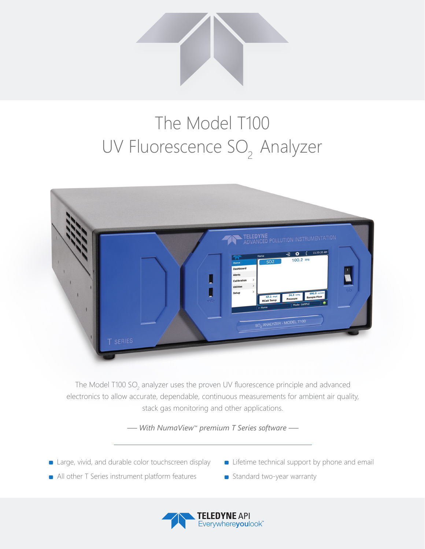

## The Model T100 UV Fluorescence SO<sub>2</sub> Analyzer



The Model T100 SO<sub>2</sub> analyzer uses the proven UV fluorescence principle and advanced electronics to allow accurate, dependable, continuous measurements for ambient air quality, stack gas monitoring and other applications.

*— With NumaView™ premium T Series software —*

- **E** Large, vivid, and durable color touchscreen display
- **Example 1** Lifetime technical support by phone and email
- **All other T Series instrument platform features**
- Standard two-year warranty